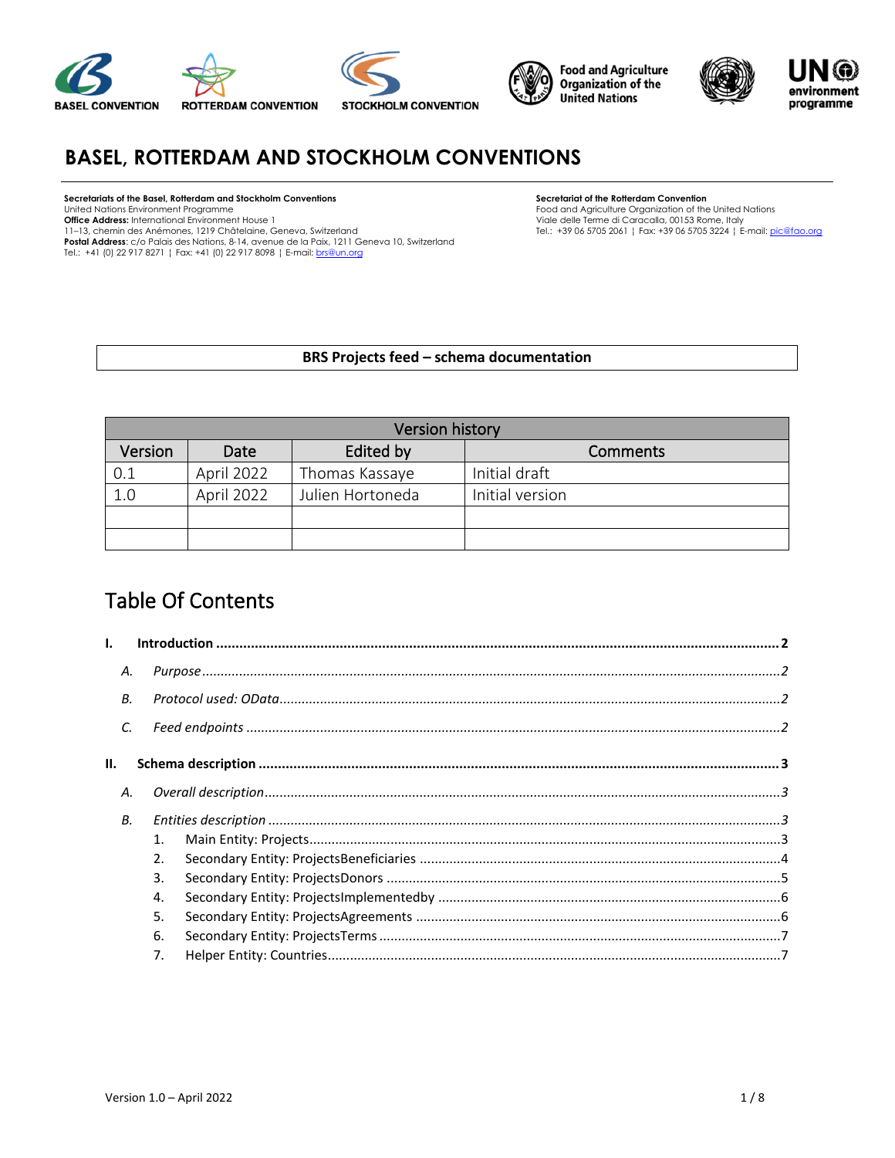





# **BASEL, ROTTERDAM AND STOCKHOLM CONVENTIONS**

#### **Secretariats of the Basel, Rotterdam and Stockholm Conventions** United Nations Environment Programme

**Office Address:** International Environment House 1

11–13, chemin des Anémones, 1219 Châtelaine, Geneva, Switzerland

**Postal Address**: c/o Palais des Nations, 8-14, avenue de la Paix, 1211 Geneva 10, Switzerland<br>Tel.: +41 (0) 22 917 8271 ¦ Fax: +41 (0) 22 917 8098 ¦ E-mail: <u>brs@un.org</u>

#### **Secretariat of the Rotterdam Convention**

Food and Agriculture Organization of the United Nations Viale delle Terme di Caracalla, 00153 Rome, Italy Tel.: +39 06 5705 2061 ¦ Fax: +39 06 5705 3224 ¦ E-mail[: pic@fao.org](mailto:pic@fao.org)

#### **BRS Projects feed – schema documentation**

|         | <b>Version history</b> |                  |                 |  |  |  |  |  |
|---------|------------------------|------------------|-----------------|--|--|--|--|--|
| Version | Date                   | Edited by        | <b>Comments</b> |  |  |  |  |  |
| 0.1     | April 2022             | Thomas Kassaye   | Initial draft   |  |  |  |  |  |
| 1.0     | April 2022             | Julien Hortoneda | Initial version |  |  |  |  |  |
|         |                        |                  |                 |  |  |  |  |  |
|         |                        |                  |                 |  |  |  |  |  |

# Table Of Contents

| Α. |    |  |
|----|----|--|
| В. |    |  |
| C. |    |  |
|    |    |  |
| Α. |    |  |
| В. |    |  |
|    | 1. |  |
|    | 2. |  |
|    | 3. |  |
|    | 4. |  |
|    | 5. |  |
|    | 6. |  |
|    | 7. |  |
|    |    |  |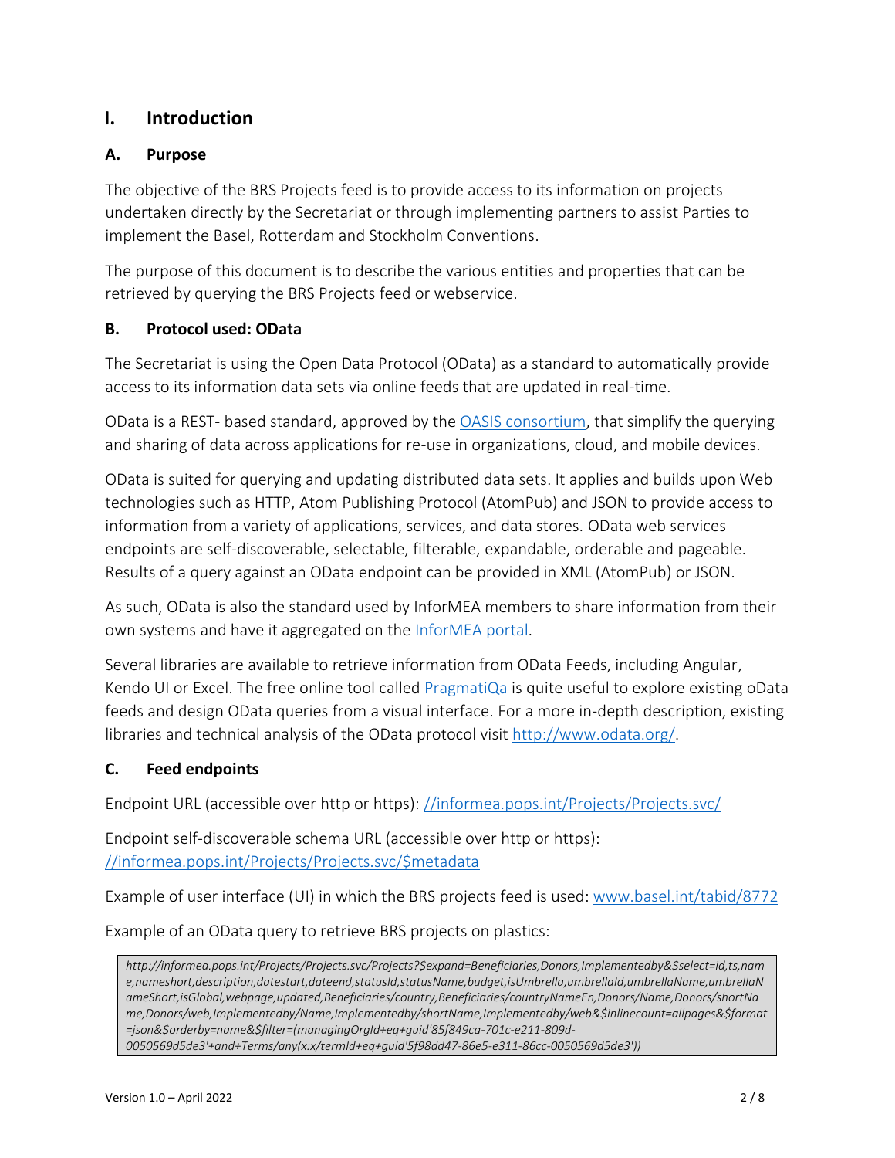# <span id="page-1-0"></span>**I. Introduction**

## <span id="page-1-1"></span>**A. Purpose**

The objective of the BRS Projects feed is to provide access to its information on projects undertaken directly by the Secretariat or through implementing partners to assist Parties to implement the Basel, Rotterdam and Stockholm Conventions.

The purpose of this document is to describe the various entities and properties that can be retrieved by querying the BRS Projects feed or webservice.

### <span id="page-1-2"></span>**B. Protocol used: OData**

The Secretariat is using the Open Data Protocol (OData) as a standard to automatically provide access to its information data sets via online feeds that are updated in real-time.

OData is a REST- based standard, approved by the [OASIS consortium,](https://www.oasis-open.org/committees/tc_home.php?wg_abbrev=odata) that simplify the querying and sharing of data across applications for re-use in organizations, cloud, and mobile devices.

OData is suited for querying and updating distributed data sets. It applies and builds upon Web technologies such as HTTP, Atom Publishing Protocol (AtomPub) and JSON to provide access to information from a variety of applications, services, and data stores. OData web services endpoints are self-discoverable, selectable, filterable, expandable, orderable and pageable. Results of a query against an OData endpoint can be provided in XML (AtomPub) or JSON.

As such, OData is also the standard used by InforMEA members to share information from their own systems and have it aggregated on the [InforMEA portal.](https://www.informea.org/en/about/api)

Several libraries are available to retrieve information from OData Feeds, including Angular, Kendo UI or Excel. The free online tool called [PragmatiQa](https://pragmatiqa.com/xodata/odatadir.html) is quite useful to explore existing oData feeds and design OData queries from a visual interface. For a more in-depth description, existing libraries and technical analysis of the OData protocol visit [http://www.odata.org/.](http://www.odata.org/)

## <span id="page-1-3"></span>**C. Feed endpoints**

Endpoint URL (accessible over http or https): [//informea.pops.int/Projects/Projects.svc/](http://informea.pops.int/Projects/Projects.svc/)

Endpoint self-discoverable schema URL (accessible over http or https): [//informea.pops.int/Projects/Projects.svc/\\$metadata](http://informea.pops.int/Projects/Projects.svc/$metadata)

Example of user interface (UI) in which the BRS projects feed is used: [www.basel.int/tabid/8772](http://www.basel.int/tabid/8772)

Example of an OData query to retrieve BRS projects on plastics:

*http://informea.pops.int/Projects/Projects.svc/Projects?\$expand=Beneficiaries,Donors,Implementedby&\$select=id,ts,nam e,nameshort,description,datestart,dateend,statusId,statusName,budget,isUmbrella,umbrellaId,umbrellaName,umbrellaN ameShort,isGlobal,webpage,updated,Beneficiaries/country,Beneficiaries/countryNameEn,Donors/Name,Donors/shortNa me,Donors/web,Implementedby/Name,Implementedby/shortName,Implementedby/web&\$inlinecount=allpages&\$format =json&\$orderby=name&\$filter=(managingOrgId+eq+guid'85f849ca-701c-e211-809d-*

*0050569d5de3'+and+Terms/any(x:x/termId+eq+guid'5f98dd47-86e5-e311-86cc-0050569d5de3'))*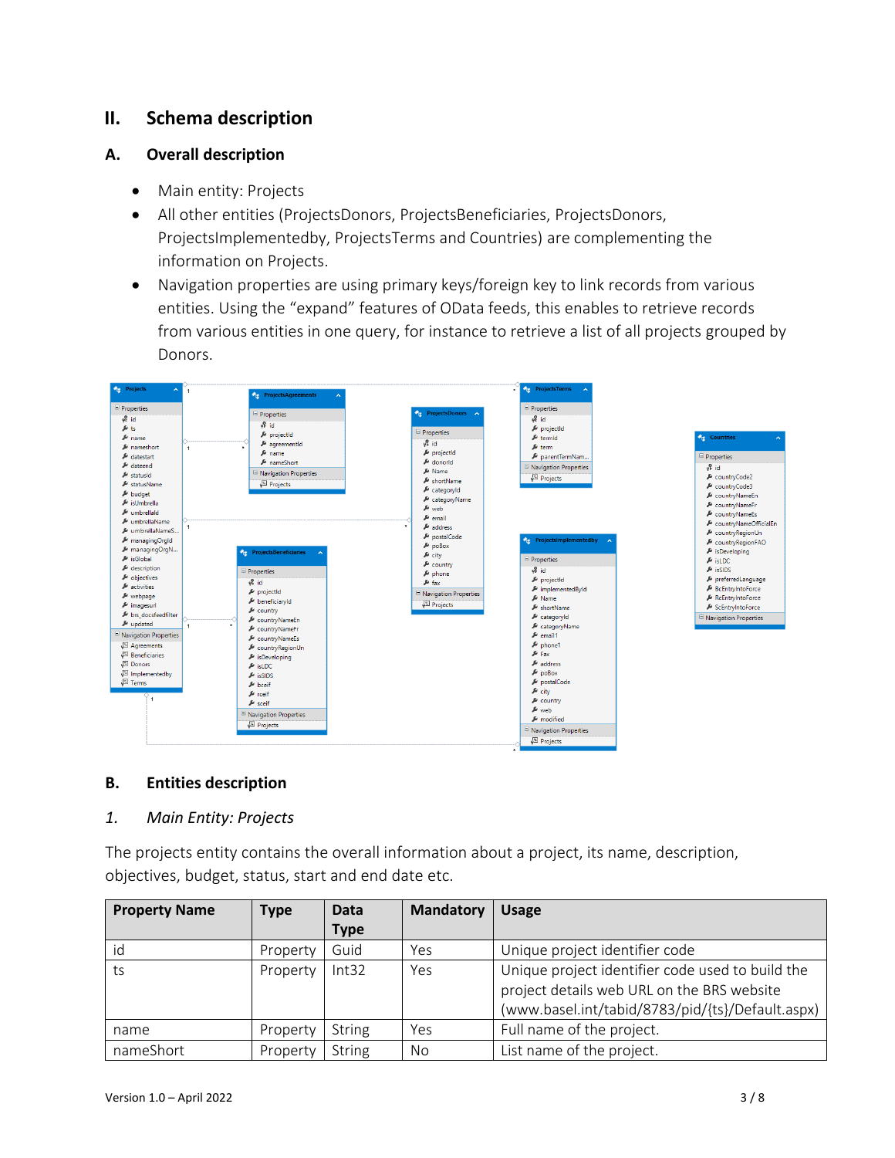# <span id="page-2-0"></span>**II. Schema description**

#### <span id="page-2-1"></span>**A. Overall description**

- Main entity: Projects
- All other entities (ProjectsDonors, ProjectsBeneficiaries, ProjectsDonors, ProjectsImplementedby, ProjectsTerms and Countries) are complementing the information on Projects.
- Navigation properties are using primary keys/foreign key to link records from various entities. Using the "expand" features of OData feeds, this enables to retrieve records from various entities in one query, for instance to retrieve a list of all projects grouped by Donors.





#### <span id="page-2-2"></span>**B. Entities description**

#### <span id="page-2-3"></span>*1. Main Entity: Projects*

The projects entity contains the overall information about a project, its name, description, objectives, budget, status, start and end date etc.

| <b>Property Name</b> | <b>Type</b> | <b>Data</b>   | <b>Mandatory</b> | <b>Usage</b>                                     |
|----------------------|-------------|---------------|------------------|--------------------------------------------------|
|                      |             | <b>Type</b>   |                  |                                                  |
| id                   | Property    | Guid          | Yes              | Unique project identifier code                   |
| ts                   | Property    | Int32         | Yes              | Unique project identifier code used to build the |
|                      |             |               |                  | project details web URL on the BRS website       |
|                      |             |               |                  | (www.basel.int/tabid/8783/pid/{ts}/Default.aspx) |
| name                 | Property    | <b>String</b> | Yes              | Full name of the project.                        |
| nameShort            | Property    | String        | No               | List name of the project.                        |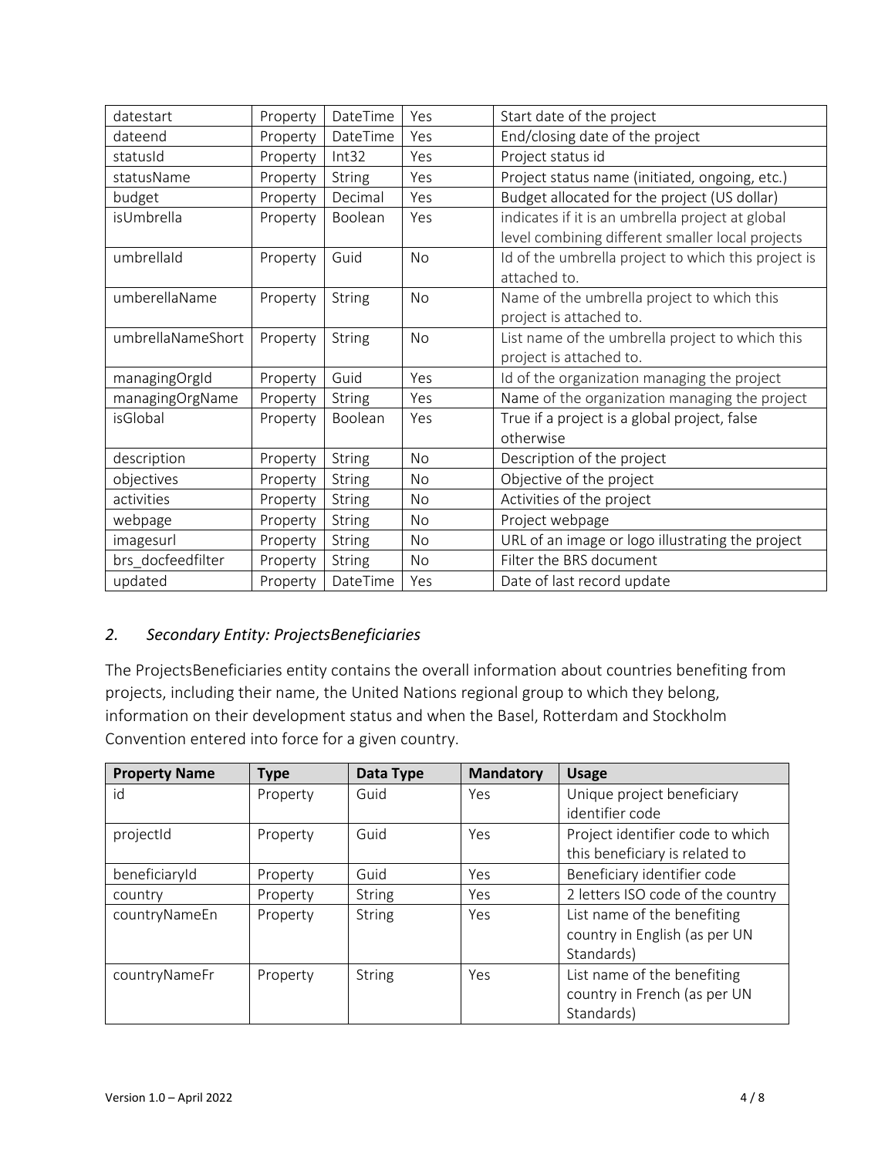| datestart         | Property | DateTime      | Yes       | Start date of the project                           |
|-------------------|----------|---------------|-----------|-----------------------------------------------------|
| dateend           | Property | DateTime      | Yes       | End/closing date of the project                     |
| statusId          | Property | Int32         | Yes       | Project status id                                   |
| statusName        | Property | <b>String</b> | Yes       | Project status name (initiated, ongoing, etc.)      |
| budget            | Property | Decimal       | Yes       | Budget allocated for the project (US dollar)        |
| isUmbrella        | Property | Boolean       | Yes       | indicates if it is an umbrella project at global    |
|                   |          |               |           | level combining different smaller local projects    |
| umbrellald        | Property | Guid          | <b>No</b> | Id of the umbrella project to which this project is |
|                   |          |               |           | attached to.                                        |
| umberellaName     | Property | <b>String</b> | <b>No</b> | Name of the umbrella project to which this          |
|                   |          |               |           | project is attached to.                             |
| umbrellaNameShort | Property | <b>String</b> | <b>No</b> | List name of the umbrella project to which this     |
|                   |          |               |           | project is attached to.                             |
| managingOrgId     | Property | Guid          | Yes       | Id of the organization managing the project         |
| managingOrgName   | Property | <b>String</b> | Yes       | Name of the organization managing the project       |
| isGlobal          | Property | Boolean       | Yes       | True if a project is a global project, false        |
|                   |          |               |           | otherwise                                           |
| description       | Property | <b>String</b> | <b>No</b> | Description of the project                          |
| objectives        | Property | <b>String</b> | No        | Objective of the project                            |
| activities        | Property | <b>String</b> | No        | Activities of the project                           |
| webpage           | Property | String        | No        | Project webpage                                     |
| imagesurl         | Property | <b>String</b> | No.       | URL of an image or logo illustrating the project    |
| brs docfeedfilter | Property | <b>String</b> | No        | Filter the BRS document                             |
| updated           | Property | DateTime      | Yes       | Date of last record update                          |

### <span id="page-3-0"></span>*2. Secondary Entity: ProjectsBeneficiaries*

The ProjectsBeneficiaries entity contains the overall information about countries benefiting from projects, including their name, the United Nations regional group to which they belong, information on their development status and when the Basel, Rotterdam and Stockholm Convention entered into force for a given country.

| <b>Property Name</b> | <b>Type</b> | Data Type     | <b>Mandatory</b> | <b>Usage</b>                      |
|----------------------|-------------|---------------|------------------|-----------------------------------|
| id                   | Property    | Guid          | Yes              | Unique project beneficiary        |
|                      |             |               |                  | identifier code                   |
| projectId            | Property    | Guid          | Yes              | Project identifier code to which  |
|                      |             |               |                  | this beneficiary is related to    |
| beneficiaryId        | Property    | Guid          | Yes              | Beneficiary identifier code       |
| country              | Property    | <b>String</b> | Yes              | 2 letters ISO code of the country |
| countryNameEn        | Property    | <b>String</b> | Yes              | List name of the benefiting       |
|                      |             |               |                  | country in English (as per UN     |
|                      |             |               |                  | Standards)                        |
| countryNameFr        | Property    | <b>String</b> | Yes              | List name of the benefiting       |
|                      |             |               |                  | country in French (as per UN      |
|                      |             |               |                  | Standards)                        |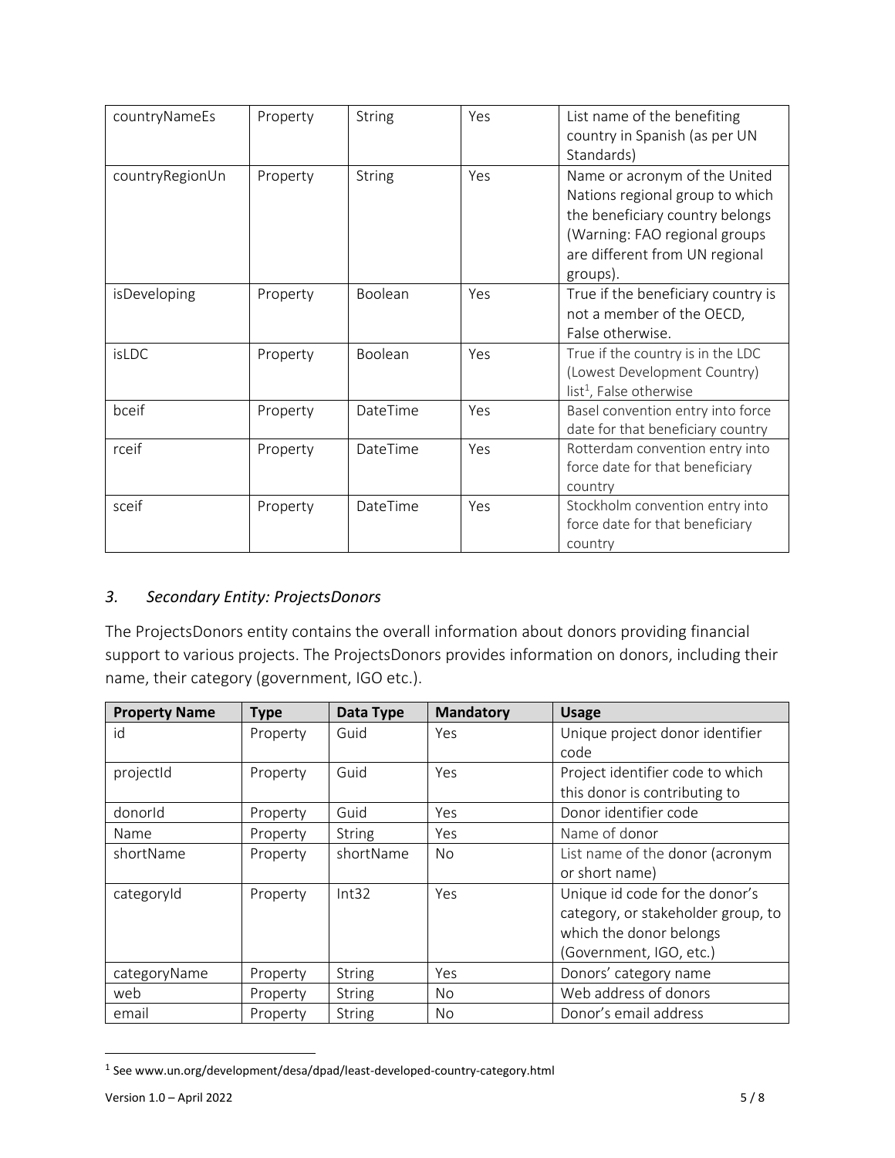| countryNameEs   | Property | <b>String</b> | Yes | List name of the benefiting<br>country in Spanish (as per UN<br>Standards)                                                                                                         |
|-----------------|----------|---------------|-----|------------------------------------------------------------------------------------------------------------------------------------------------------------------------------------|
| countryRegionUn | Property | <b>String</b> | Yes | Name or acronym of the United<br>Nations regional group to which<br>the beneficiary country belongs<br>(Warning: FAO regional groups<br>are different from UN regional<br>groups). |
| isDeveloping    | Property | Boolean       | Yes | True if the beneficiary country is<br>not a member of the OECD,<br>False otherwise.                                                                                                |
| isLDC           | Property | Boolean       | Yes | True if the country is in the LDC<br>(Lowest Development Country)<br>list <sup>1</sup> , False otherwise                                                                           |
| bceif           | Property | DateTime      | Yes | Basel convention entry into force<br>date for that beneficiary country                                                                                                             |
| rceif           | Property | DateTime      | Yes | Rotterdam convention entry into<br>force date for that beneficiary<br>country                                                                                                      |
| sceif           | Property | DateTime      | Yes | Stockholm convention entry into<br>force date for that beneficiary<br>country                                                                                                      |

#### <span id="page-4-0"></span>*3. Secondary Entity: ProjectsDonors*

The ProjectsDonors entity contains the overall information about donors providing financial support to various projects. The ProjectsDonors provides information on donors, including their name, their category (government, IGO etc.).

| <b>Property Name</b> | <b>Type</b> | Data Type     | <b>Mandatory</b> | <b>Usage</b>                       |
|----------------------|-------------|---------------|------------------|------------------------------------|
| id                   | Property    | Guid          | Yes              | Unique project donor identifier    |
|                      |             |               |                  | code                               |
| projectId            | Property    | Guid          | Yes              | Project identifier code to which   |
|                      |             |               |                  | this donor is contributing to      |
| donorld              | Property    | Guid          | Yes              | Donor identifier code              |
| <b>Name</b>          | Property    | String        | Yes              | Name of donor                      |
| shortName            | Property    | shortName     | No.              | List name of the donor (acronym    |
|                      |             |               |                  | or short name)                     |
| categoryId           | Property    | Int32         | Yes              | Unique id code for the donor's     |
|                      |             |               |                  | category, or stakeholder group, to |
|                      |             |               |                  | which the donor belongs            |
|                      |             |               |                  | (Government, IGO, etc.)            |
| categoryName         | Property    | <b>String</b> | Yes              | Donors' category name              |
| web                  | Property    | String        | No.              | Web address of donors              |
| email                | Property    | String        | No.              | Donor's email address              |

<sup>&</sup>lt;sup>1</sup> See www.un.org/development/desa/dpad/least-developed-country-category.html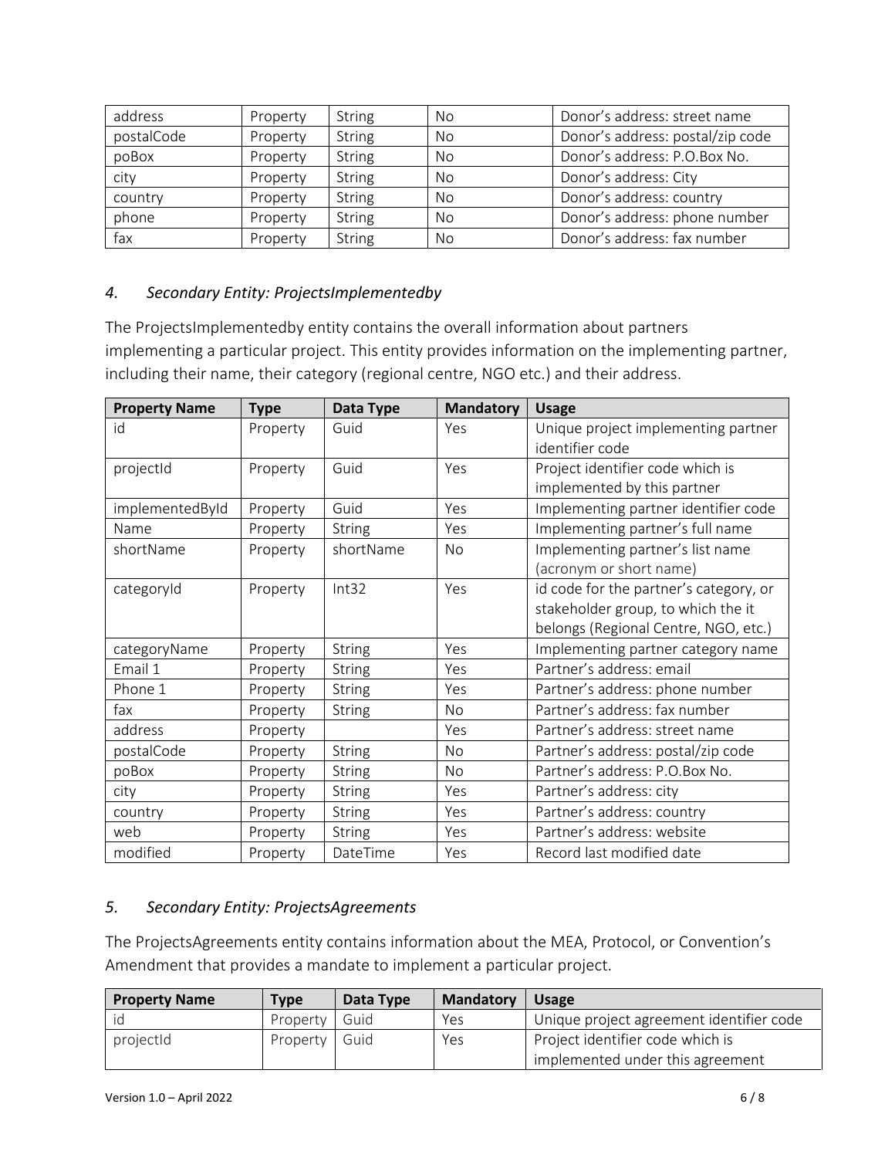| address    | Property | <b>String</b> | <b>No</b> | Donor's address: street name     |
|------------|----------|---------------|-----------|----------------------------------|
| postalCode | Property | <b>String</b> | No        | Donor's address: postal/zip code |
| poBox      | Property | <b>String</b> | No        | Donor's address: P.O.Box No.     |
| city       | Property | <b>String</b> | No        | Donor's address: City            |
| country    | Property | <b>String</b> | <b>No</b> | Donor's address: country         |
| phone      | Property | <b>String</b> | No        | Donor's address: phone number    |
| fax        | Property | <b>String</b> | No        | Donor's address: fax number      |

#### <span id="page-5-0"></span>*4. Secondary Entity: ProjectsImplementedby*

The ProjectsImplementedby entity contains the overall information about partners implementing a particular project. This entity provides information on the implementing partner, including their name, their category (regional centre, NGO etc.) and their address.

| <b>Property Name</b> | <b>Type</b> | Data Type     | <b>Mandatory</b> | <b>Usage</b>                           |
|----------------------|-------------|---------------|------------------|----------------------------------------|
| id                   | Property    | Guid          | Yes              | Unique project implementing partner    |
|                      |             |               |                  | identifier code                        |
| projectId            | Property    | Guid          | Yes              | Project identifier code which is       |
|                      |             |               |                  | implemented by this partner            |
| implementedById      | Property    | Guid          | Yes              | Implementing partner identifier code   |
| Name                 | Property    | <b>String</b> | Yes              | Implementing partner's full name       |
| shortName            | Property    | shortName     | <b>No</b>        | Implementing partner's list name       |
|                      |             |               |                  | (acronym or short name)                |
| categoryId           | Property    | Int32         | Yes              | id code for the partner's category, or |
|                      |             |               |                  | stakeholder group, to which the it     |
|                      |             |               |                  | belongs (Regional Centre, NGO, etc.)   |
| categoryName         | Property    | <b>String</b> | Yes              | Implementing partner category name     |
| Email 1              | Property    | <b>String</b> | Yes              | Partner's address: email               |
| Phone 1              | Property    | <b>String</b> | Yes              | Partner's address: phone number        |
| fax                  | Property    | <b>String</b> | <b>No</b>        | Partner's address: fax number          |
| address              | Property    |               | Yes              | Partner's address: street name         |
| postalCode           | Property    | <b>String</b> | <b>No</b>        | Partner's address: postal/zip code     |
| poBox                | Property    | <b>String</b> | No.              | Partner's address: P.O.Box No.         |
| city                 | Property    | <b>String</b> | Yes              | Partner's address: city                |
| country              | Property    | <b>String</b> | Yes              | Partner's address: country             |
| web                  | Property    | <b>String</b> | Yes              | Partner's address: website             |
| modified             | Property    | DateTime      | Yes              | Record last modified date              |

#### <span id="page-5-1"></span>*5. Secondary Entity: ProjectsAgreements*

The ProjectsAgreements entity contains information about the MEA, Protocol, or Convention's Amendment that provides a mandate to implement a particular project.

| <b>Property Name</b> | <b>Type</b> | Data Type | <b>Mandatory</b> | <b>Usage</b>                             |
|----------------------|-------------|-----------|------------------|------------------------------------------|
| id                   | Property    | Guid      | Yes              | Unique project agreement identifier code |
| projectId            | Property    | Guid      | Yes              | Project identifier code which is         |
|                      |             |           |                  | implemented under this agreement         |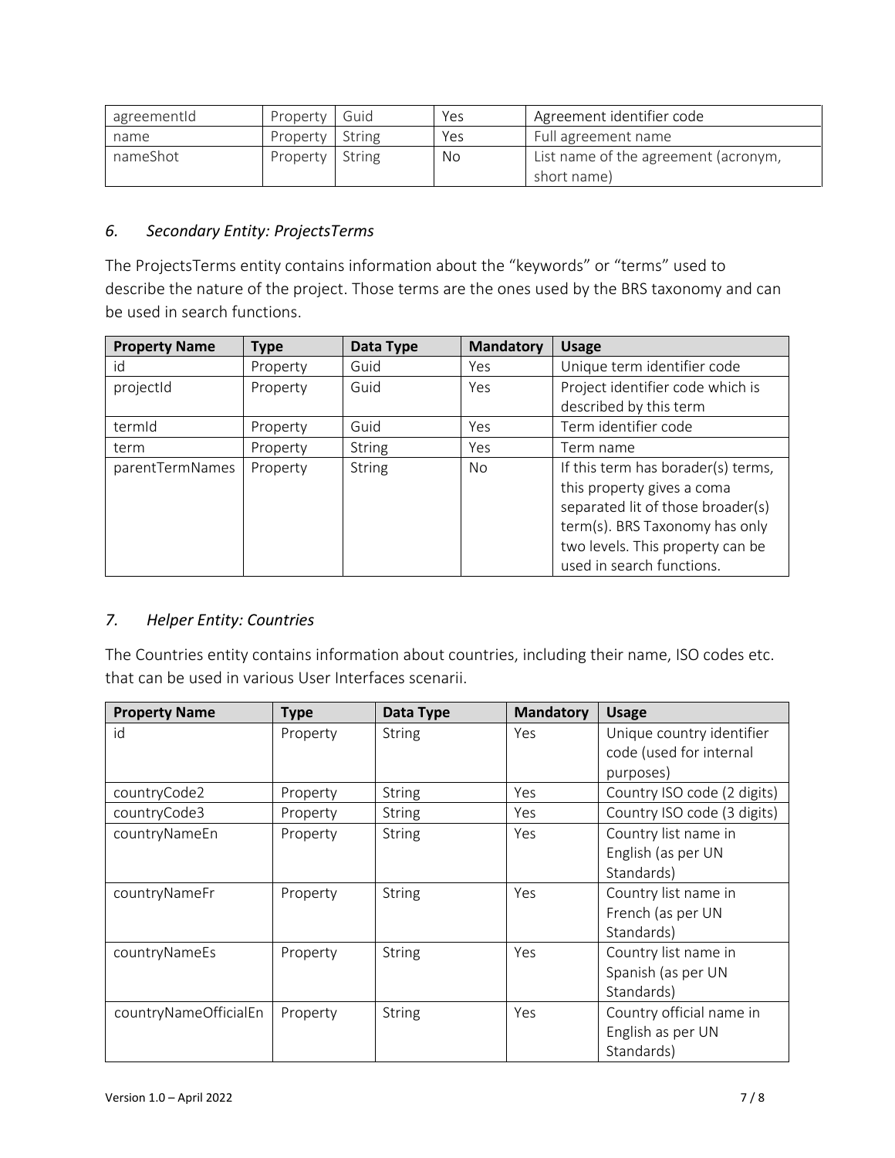| agreementId | <b>Property</b>   | Guid | Yes | Agreement identifier code                           |
|-------------|-------------------|------|-----|-----------------------------------------------------|
| name        | Property   String |      | Yes | Full agreement name                                 |
| nameShot    | Property   String |      | No  | List name of the agreement (acronym,<br>short name) |

### <span id="page-6-0"></span>*6. Secondary Entity: ProjectsTerms*

The ProjectsTerms entity contains information about the "keywords" or "terms" used to describe the nature of the project. Those terms are the ones used by the BRS taxonomy and can be used in search functions.

| <b>Property Name</b> | <b>Type</b> | Data Type     | <b>Mandatory</b> | <b>Usage</b>                       |
|----------------------|-------------|---------------|------------------|------------------------------------|
| id                   | Property    | Guid          | Yes              | Unique term identifier code        |
| projectid            | Property    | Guid          | Yes              | Project identifier code which is   |
|                      |             |               |                  | described by this term             |
| termid               | Property    | Guid          | Yes              | Term identifier code               |
| term                 | Property    | <b>String</b> | Yes              | Term name                          |
| parentTermNames      | Property    | <b>String</b> | No               | If this term has borader(s) terms, |
|                      |             |               |                  | this property gives a coma         |
|                      |             |               |                  | separated lit of those broader(s)  |
|                      |             |               |                  | term(s). BRS Taxonomy has only     |
|                      |             |               |                  | two levels. This property can be   |
|                      |             |               |                  | used in search functions.          |

#### <span id="page-6-1"></span>*7. Helper Entity: Countries*

The Countries entity contains information about countries, including their name, ISO codes etc. that can be used in various User Interfaces scenarii.

| <b>Property Name</b>  | <b>Type</b> | Data Type     | <b>Mandatory</b> | <b>Usage</b>                |
|-----------------------|-------------|---------------|------------------|-----------------------------|
| id                    | Property    | <b>String</b> | Yes              | Unique country identifier   |
|                       |             |               |                  | code (used for internal     |
|                       |             |               |                  | purposes)                   |
| countryCode2          | Property    | <b>String</b> | Yes              | Country ISO code (2 digits) |
| countryCode3          | Property    | <b>String</b> | Yes              | Country ISO code (3 digits) |
| countryNameEn         | Property    | String        | Yes              | Country list name in        |
|                       |             |               |                  | English (as per UN          |
|                       |             |               |                  | Standards)                  |
| countryNameFr         | Property    | <b>String</b> | Yes              | Country list name in        |
|                       |             |               |                  | French (as per UN           |
|                       |             |               |                  | Standards)                  |
| countryNameEs         | Property    | <b>String</b> | Yes              | Country list name in        |
|                       |             |               |                  | Spanish (as per UN          |
|                       |             |               |                  | Standards)                  |
| countryNameOfficialEn | Property    | <b>String</b> | Yes              | Country official name in    |
|                       |             |               |                  | English as per UN           |
|                       |             |               |                  | Standards)                  |